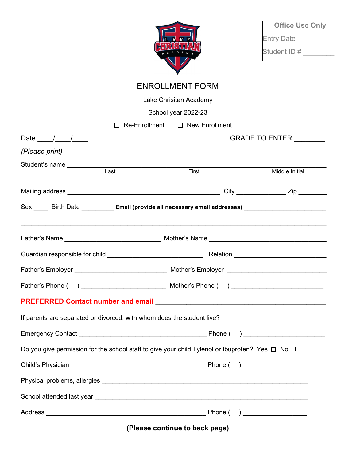

| <b>Office Use Only</b> |
|------------------------|
| <b>Entry Date</b>      |
| Student ID#            |

| <b>ENROLLMENT FORM</b> |  |
|------------------------|--|
|------------------------|--|

Lake Chrisitan Academy

School year 2022-23

| Re-Enrollment                                                                                             | $\Box$ New Enrollment  |                |  |  |
|-----------------------------------------------------------------------------------------------------------|------------------------|----------------|--|--|
| Date $\frac{1}{\sqrt{1-\frac{1}{2}}}$                                                                     | GRADE TO ENTER _______ |                |  |  |
| (Please print)                                                                                            |                        |                |  |  |
| Student's name _______________<br>$\overline{\text{Last}}$                                                |                        |                |  |  |
|                                                                                                           | First                  | Middle Initial |  |  |
|                                                                                                           |                        |                |  |  |
| Sex _____ Birth Date _________ Email (provide all necessary email addresses) ______________________       |                        |                |  |  |
|                                                                                                           |                        |                |  |  |
|                                                                                                           |                        |                |  |  |
|                                                                                                           |                        |                |  |  |
|                                                                                                           |                        |                |  |  |
|                                                                                                           |                        |                |  |  |
|                                                                                                           |                        |                |  |  |
|                                                                                                           |                        |                |  |  |
| Do you give permission for the school staff to give your child Tylenol or Ibuprofen? Yes $\Box$ No $\Box$ |                        |                |  |  |
|                                                                                                           |                        |                |  |  |
|                                                                                                           |                        |                |  |  |
|                                                                                                           |                        |                |  |  |
|                                                                                                           |                        |                |  |  |

(Please continue to back page)